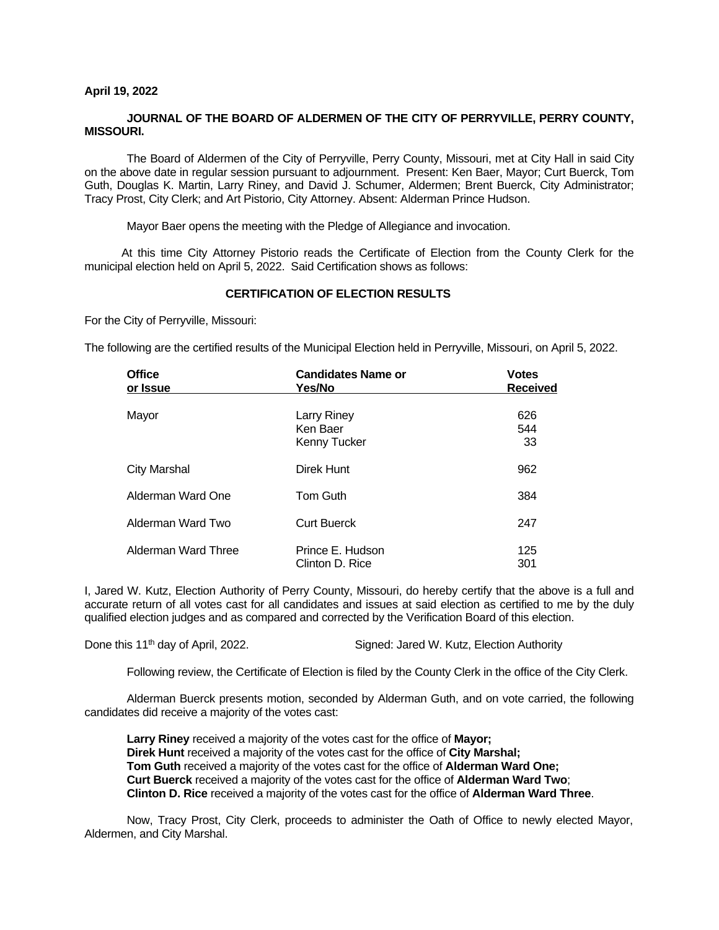#### **April 19, 2022**

### **JOURNAL OF THE BOARD OF ALDERMEN OF THE CITY OF PERRYVILLE, PERRY COUNTY, MISSOURI.**

The Board of Aldermen of the City of Perryville, Perry County, Missouri, met at City Hall in said City on the above date in regular session pursuant to adjournment. Present: Ken Baer, Mayor; Curt Buerck, Tom Guth, Douglas K. Martin, Larry Riney, and David J. Schumer, Aldermen; Brent Buerck, City Administrator; Tracy Prost, City Clerk; and Art Pistorio, City Attorney. Absent: Alderman Prince Hudson.

Mayor Baer opens the meeting with the Pledge of Allegiance and invocation.

At this time City Attorney Pistorio reads the Certificate of Election from the County Clerk for the municipal election held on April 5, 2022. Said Certification shows as follows:

### **CERTIFICATION OF ELECTION RESULTS**

For the City of Perryville, Missouri:

The following are the certified results of the Municipal Election held in Perryville, Missouri, on April 5, 2022.

| <b>Office</b><br>or Issue | <b>Candidates Name or</b><br>Yes/No     | <b>Votes</b><br><b>Received</b> |  |  |  |
|---------------------------|-----------------------------------------|---------------------------------|--|--|--|
| Mayor                     | Larry Riney<br>Ken Baer<br>Kenny Tucker | 626<br>544<br>33                |  |  |  |
| <b>City Marshal</b>       | Direk Hunt                              | 962                             |  |  |  |
| Alderman Ward One         | <b>Tom Guth</b>                         | 384                             |  |  |  |
| Alderman Ward Two         | <b>Curt Buerck</b>                      | 247                             |  |  |  |
| Alderman Ward Three       | Prince E. Hudson<br>Clinton D. Rice     | 125<br>301                      |  |  |  |

I, Jared W. Kutz, Election Authority of Perry County, Missouri, do hereby certify that the above is a full and accurate return of all votes cast for all candidates and issues at said election as certified to me by the duly qualified election judges and as compared and corrected by the Verification Board of this election.

Done this 11<sup>th</sup> day of April, 2022. Signed: Jared W. Kutz, Election Authority

Following review, the Certificate of Election is filed by the County Clerk in the office of the City Clerk.

Alderman Buerck presents motion, seconded by Alderman Guth, and on vote carried, the following candidates did receive a majority of the votes cast:

**Larry Riney** received a majority of the votes cast for the office of **Mayor; Direk Hunt** received a majority of the votes cast for the office of **City Marshal; Tom Guth** received a majority of the votes cast for the office of **Alderman Ward One; Curt Buerck** received a majority of the votes cast for the office of **Alderman Ward Two**; **Clinton D. Rice** received a majority of the votes cast for the office of **Alderman Ward Three**.

Now, Tracy Prost, City Clerk, proceeds to administer the Oath of Office to newly elected Mayor, Aldermen, and City Marshal.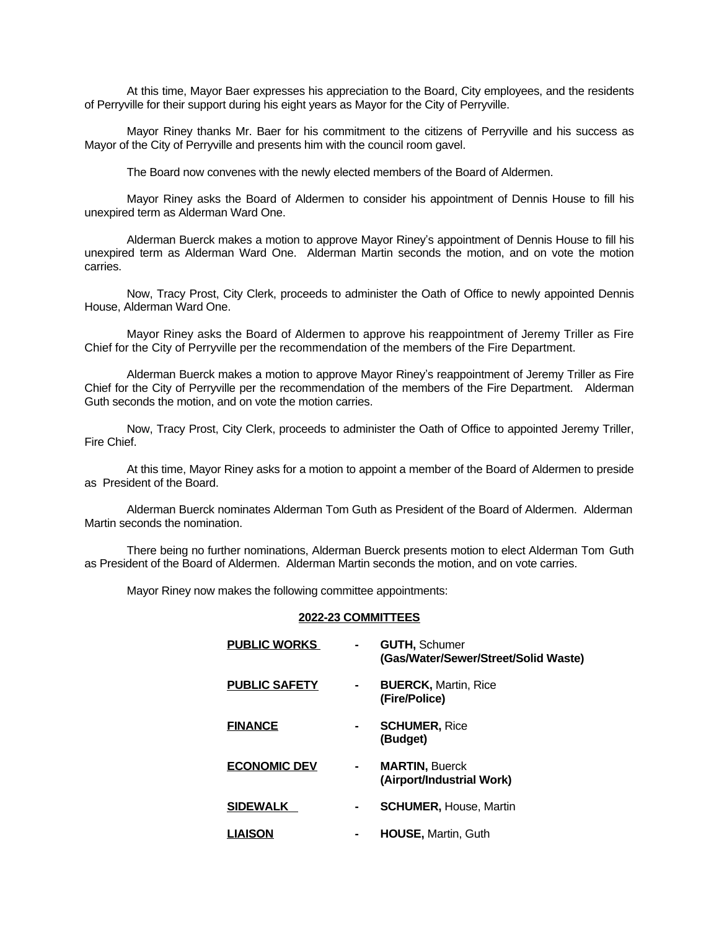At this time, Mayor Baer expresses his appreciation to the Board, City employees, and the residents of Perryville for their support during his eight years as Mayor for the City of Perryville.

Mayor Riney thanks Mr. Baer for his commitment to the citizens of Perryville and his success as Mayor of the City of Perryville and presents him with the council room gavel.

The Board now convenes with the newly elected members of the Board of Aldermen.

Mayor Riney asks the Board of Aldermen to consider his appointment of Dennis House to fill his unexpired term as Alderman Ward One.

Alderman Buerck makes a motion to approve Mayor Riney's appointment of Dennis House to fill his unexpired term as Alderman Ward One. Alderman Martin seconds the motion, and on vote the motion carries.

Now, Tracy Prost, City Clerk, proceeds to administer the Oath of Office to newly appointed Dennis House, Alderman Ward One.

Mayor Riney asks the Board of Aldermen to approve his reappointment of Jeremy Triller as Fire Chief for the City of Perryville per the recommendation of the members of the Fire Department.

Alderman Buerck makes a motion to approve Mayor Riney's reappointment of Jeremy Triller as Fire Chief for the City of Perryville per the recommendation of the members of the Fire Department. Alderman Guth seconds the motion, and on vote the motion carries.

Now, Tracy Prost, City Clerk, proceeds to administer the Oath of Office to appointed Jeremy Triller, Fire Chief.

At this time, Mayor Riney asks for a motion to appoint a member of the Board of Aldermen to preside as President of the Board.

Alderman Buerck nominates Alderman Tom Guth as President of the Board of Aldermen. Alderman Martin seconds the nomination.

There being no further nominations, Alderman Buerck presents motion to elect Alderman Tom Guth as President of the Board of Aldermen. Alderman Martin seconds the motion, and on vote carries.

Mayor Riney now makes the following committee appointments:

#### **2022-23 COMMITTEES**

| <b>PUBLIC WORKS</b>  | <b>GUTH, Schumer</b><br>(Gas/Water/Sewer/Street/Solid Waste) |
|----------------------|--------------------------------------------------------------|
| <b>PUBLIC SAFETY</b> | <b>BUERCK, Martin, Rice</b><br>(Fire/Police)                 |
| <b>FINANCE</b>       | <b>SCHUMER, Rice</b><br>(Budget)                             |
| <b>ECONOMIC DEV</b>  | <b>MARTIN, Buerck</b><br>(Airport/Industrial Work)           |
| <b>SIDEWALK</b>      | <b>SCHUMER, House, Martin</b>                                |
| <b>LIAISON</b>       | HOUSE, Martin, Guth                                          |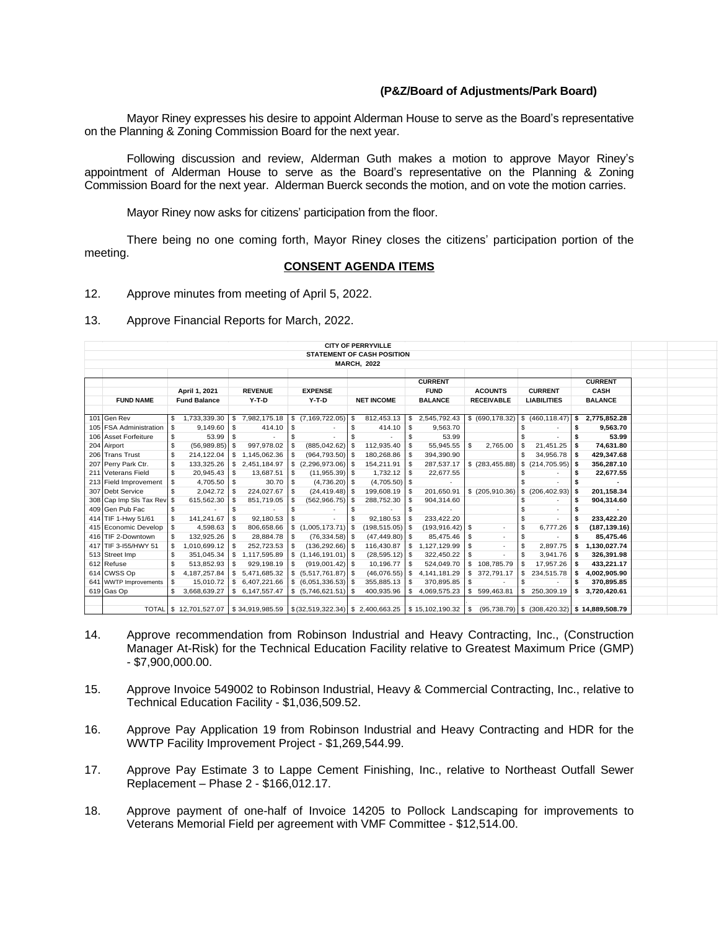## **(P&Z/Board of Adjustments/Park Board)**

Mayor Riney expresses his desire to appoint Alderman House to serve as the Board's representative on the Planning & Zoning Commission Board for the next year.

Following discussion and review, Alderman Guth makes a motion to approve Mayor Riney's appointment of Alderman House to serve as the Board's representative on the Planning & Zoning Commission Board for the next year. Alderman Buerck seconds the motion, and on vote the motion carries.

Mayor Riney now asks for citizens' participation from the floor.

There being no one coming forth, Mayor Riney closes the citizens' participation portion of the meeting.

## **CONSENT AGENDA ITEMS**

- 12. Approve minutes from meeting of April 5, 2022.
- 13. Approve Financial Reports for March, 2022.

|                                  |          |                                                                                                                                     |                |                 |                |                      |                   | <b>CITY OF PERRYVILLE</b>         |             |                    |                |                                   |                |                    |      |                |  |
|----------------------------------|----------|-------------------------------------------------------------------------------------------------------------------------------------|----------------|-----------------|----------------|----------------------|-------------------|-----------------------------------|-------------|--------------------|----------------|-----------------------------------|----------------|--------------------|------|----------------|--|
|                                  |          |                                                                                                                                     |                |                 |                |                      |                   | <b>STATEMENT OF CASH POSITION</b> |             |                    |                |                                   |                |                    |      |                |  |
| <b>MARCH, 2022</b>               |          |                                                                                                                                     |                |                 |                |                      |                   |                                   |             |                    |                |                                   |                |                    |      |                |  |
| <b>CURRENT</b><br><b>CURRENT</b> |          |                                                                                                                                     |                |                 |                |                      |                   |                                   |             |                    |                |                                   |                |                    |      |                |  |
|                                  |          | April 1, 2021                                                                                                                       | <b>REVENUE</b> |                 | <b>EXPENSE</b> |                      |                   |                                   | <b>FUND</b> |                    | <b>ACOUNTS</b> |                                   | <b>CURRENT</b> |                    | CASH |                |  |
| <b>FUND NAME</b>                 |          | <b>Fund Balance</b>                                                                                                                 | Y-T-D          |                 | Y-T-D          |                      | <b>NET INCOME</b> |                                   |             | <b>BALANCE</b>     |                | <b>RECEIVABLE</b>                 |                | <b>LIABILITIES</b> |      | <b>BALANCE</b> |  |
|                                  |          |                                                                                                                                     |                |                 |                |                      |                   |                                   |             |                    |                |                                   |                |                    |      |                |  |
| 101 Gen Rev                      | \$       | 1,733,339.30                                                                                                                        | $\mathbb{S}$   | 7,982,175.18    |                | $$$ $(7,169,722.05)$ | l \$              | 812,453.13                        | \$          | 2,545,792.43       |                | \$ (690, 178.32)                  |                | \$(460, 118.47)    | s    | 2,775,852.28   |  |
| 105 FSA Administration S         |          | 9,149.60                                                                                                                            | \$             | 414.10          | \$             |                      | - \$              | 414.10                            | \$          | 9,563.70           |                |                                   | -S             |                    |      | 9,563.70       |  |
| 106 Asset Forfeiture             | \$       | 53.99                                                                                                                               | s.             |                 |                |                      |                   |                                   | \$.         | 53.99              |                |                                   |                |                    |      | 53.99          |  |
| 204 Airport                      | \$       | (56,989.85)                                                                                                                         | -\$            | 997,978.02      |                | $(885, 042.62)$ \$   |                   | 112,935.40                        | -S          | 55,945.55          | - \$           | 2,765.00                          | - \$           | 21,451.25          |      | 74,631.80      |  |
| 206 Trans Trust                  | \$       | 214,122.04                                                                                                                          |                | \$1,145,062.36  |                | $(964, 793.50)$ \$   |                   | 180,268.86                        |             | 394,390.90         |                |                                   | -S             | 34,956.78          |      | 429,347.68     |  |
| 207 Perry Park Ctr.              | \$       | 133,325.26                                                                                                                          | \$             | 2,451,184.97    |                |                      |                   | 154,211.91                        | -S          | 287,537.17         |                | $$$ (283,455.88) $$$ (214,705.95) |                |                    | S    | 356,287.10     |  |
| 211 Veterans Field               | \$       | 20,945.43                                                                                                                           | s.             | 13,687.51       | -S             | $(11,955.39)$ \$     |                   | 1,732.12                          |             | 22,677.55          |                |                                   | -S             |                    |      | 22,677.55      |  |
| 213 Field Improvement            | \$       | 4,705.50                                                                                                                            | \$             | 30.70           |                | $(4,736.20)$ \$      |                   | (4,705.50)                        | \$          |                    |                |                                   |                |                    |      |                |  |
| 307 Debt Service                 | \$       | 2,042.72                                                                                                                            |                | 224,027.67      |                | $(24, 419.48)$ \$    |                   | 199,608.19                        |             | 201,650.91         |                | \$ (205,910.36)                   |                | \$(206.402.93)     |      | 201,158.34     |  |
| 308 Cap Imp SIs Tax Rev \$       |          | 615,562.30                                                                                                                          | \$             | 851,719.05      |                | $(562, 966.75)$ \$   |                   | 288,752.30                        |             | 904,314.60         |                |                                   |                |                    |      | 904,314.60     |  |
| 409 Gen Pub Fac                  | \$       |                                                                                                                                     | \$             |                 | -S             |                      |                   |                                   |             |                    |                |                                   |                |                    |      |                |  |
| 414 TIF 1-Hwy 51/61              | <b>S</b> | 141,241.67                                                                                                                          | s.             | 92,180.53       |                |                      |                   | 92,180.53                         | -S          | 233,422.20         |                |                                   | -S             |                    |      | 233,422.20     |  |
| 415 Economic Develop \$          |          | 4,598.63                                                                                                                            | S.             | 806,658.66      |                |                      |                   | $(198, 515.05)$ \$                |             | $(193, 916.42)$ \$ |                | ٠                                 | <b>S</b>       | 6,777.26           | s    | (187, 139.16)  |  |
| 416 TIF 2-Downtown               | - \$     | 132,925.26                                                                                                                          | \$             | 28,884.78       | \$             | $(76, 334.58)$ \$    |                   | $(47, 449.80)$ \$                 |             | 85,475.46          | l \$           |                                   | -S             |                    |      | 85,475.46      |  |
| 417 TIF 3-155/HWY 51             | - \$     | 1,010,699.12                                                                                                                        | \$.            | 252,723.53      |                | $(136, 292.66)$ \$   |                   | 116,430.87                        | s.          | 1,127,129.99       |                | ٠                                 | <b>S</b>       | 2,897.75           | s.   | 1,130,027.74   |  |
| 513 Street Imp                   | \$       | 351,045.34                                                                                                                          | \$             | 1,117,595.89    |                |                      |                   | $(28, 595.12)$ \$                 |             | 322,450.22         |                |                                   | -S             | 3,941.76           | S    | 326,391.98     |  |
| 612 Refuse                       | \$       | 513,852.93                                                                                                                          | s.             | 929,198.19      | -S             | $(919,001.42)$ \$    |                   | 10,196.77                         | -S          | 524,049.70         |                | $$108,785.79$ \\$                 |                | 17,957.26          | s    | 433,221.17     |  |
| 614 CWSS Op                      | \$       | 4, 187, 257.84                                                                                                                      |                | \$ 5,471,685.32 |                |                      |                   | (46,076.55)                       | \$.         | 4,141,181.29       |                | \$372,791.17                      | S.             | 234,515.78         |      | 4,002,905.90   |  |
| 641 WWTP Improvements            |          | 15,010.72                                                                                                                           |                | \$6,407,221.66  |                |                      |                   | 355,885.13                        |             | 370,895.85         |                |                                   | -S             |                    |      | 370,895.85     |  |
| 619 Gas Op                       | \$       | 3,668,639.27                                                                                                                        |                | \$6,147,557.47  |                |                      |                   | 400,935.96                        | S.          | 4,069,575.23       | S.             | 599,463.81                        | S              | 250,309.19         | s    | 3,720,420.61   |  |
|                                  |          |                                                                                                                                     |                |                 |                |                      |                   |                                   |             |                    |                |                                   |                |                    |      |                |  |
|                                  |          | TOTAL \$12,701,527.07 \$34,919,985.59 \$(32,519,322.34) \$2,400,663.25 \$15,102,190.32 \$695,738.79) \$(308,420.32) \$14,889,508.79 |                |                 |                |                      |                   |                                   |             |                    |                |                                   |                |                    |      |                |  |

- 14. Approve recommendation from Robinson Industrial and Heavy Contracting, Inc., (Construction Manager At-Risk) for the Technical Education Facility relative to Greatest Maximum Price (GMP) - \$7,900,000.00.
- 15. Approve Invoice 549002 to Robinson Industrial, Heavy & Commercial Contracting, Inc., relative to Technical Education Facility - \$1,036,509.52.
- 16. Approve Pay Application 19 from Robinson Industrial and Heavy Contracting and HDR for the WWTP Facility Improvement Project - \$1,269,544.99.
- 17. Approve Pay Estimate 3 to Lappe Cement Finishing, Inc., relative to Northeast Outfall Sewer Replacement – Phase 2 - \$166,012.17.
- 18. Approve payment of one-half of Invoice 14205 to Pollock Landscaping for improvements to Veterans Memorial Field per agreement with VMF Committee - \$12,514.00.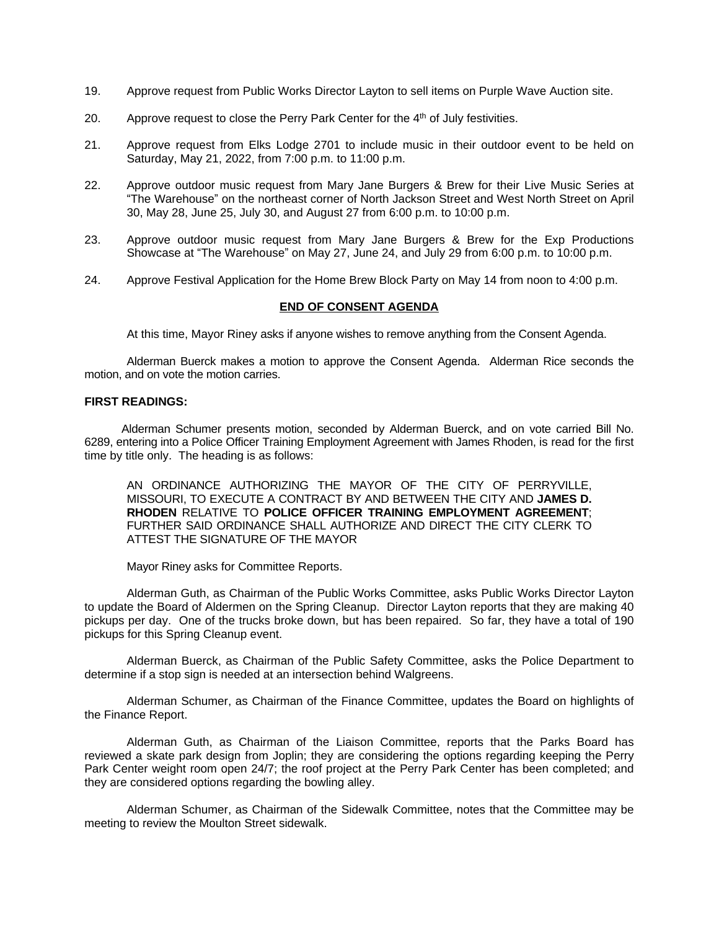- 19. Approve request from Public Works Director Layton to sell items on Purple Wave Auction site.
- 20. Approve request to close the Perry Park Center for the 4<sup>th</sup> of July festivities.
- 21. Approve request from Elks Lodge 2701 to include music in their outdoor event to be held on Saturday, May 21, 2022, from 7:00 p.m. to 11:00 p.m.
- 22. Approve outdoor music request from Mary Jane Burgers & Brew for their Live Music Series at "The Warehouse" on the northeast corner of North Jackson Street and West North Street on April 30, May 28, June 25, July 30, and August 27 from 6:00 p.m. to 10:00 p.m.
- 23. Approve outdoor music request from Mary Jane Burgers & Brew for the Exp Productions Showcase at "The Warehouse" on May 27, June 24, and July 29 from 6:00 p.m. to 10:00 p.m.
- 24. Approve Festival Application for the Home Brew Block Party on May 14 from noon to 4:00 p.m.

## **END OF CONSENT AGENDA**

At this time, Mayor Riney asks if anyone wishes to remove anything from the Consent Agenda.

Alderman Buerck makes a motion to approve the Consent Agenda. Alderman Rice seconds the motion, and on vote the motion carries.

#### **FIRST READINGS:**

Alderman Schumer presents motion, seconded by Alderman Buerck, and on vote carried Bill No. 6289, entering into a Police Officer Training Employment Agreement with James Rhoden, is read for the first time by title only. The heading is as follows:

AN ORDINANCE AUTHORIZING THE MAYOR OF THE CITY OF PERRYVILLE, MISSOURI, TO EXECUTE A CONTRACT BY AND BETWEEN THE CITY AND **JAMES D. RHODEN** RELATIVE TO **POLICE OFFICER TRAINING EMPLOYMENT AGREEMENT**; FURTHER SAID ORDINANCE SHALL AUTHORIZE AND DIRECT THE CITY CLERK TO ATTEST THE SIGNATURE OF THE MAYOR

Mayor Riney asks for Committee Reports.

Alderman Guth, as Chairman of the Public Works Committee, asks Public Works Director Layton to update the Board of Aldermen on the Spring Cleanup. Director Layton reports that they are making 40 pickups per day. One of the trucks broke down, but has been repaired. So far, they have a total of 190 pickups for this Spring Cleanup event.

Alderman Buerck, as Chairman of the Public Safety Committee, asks the Police Department to determine if a stop sign is needed at an intersection behind Walgreens.

Alderman Schumer, as Chairman of the Finance Committee, updates the Board on highlights of the Finance Report.

Alderman Guth, as Chairman of the Liaison Committee, reports that the Parks Board has reviewed a skate park design from Joplin; they are considering the options regarding keeping the Perry Park Center weight room open 24/7; the roof project at the Perry Park Center has been completed; and they are considered options regarding the bowling alley.

Alderman Schumer, as Chairman of the Sidewalk Committee, notes that the Committee may be meeting to review the Moulton Street sidewalk.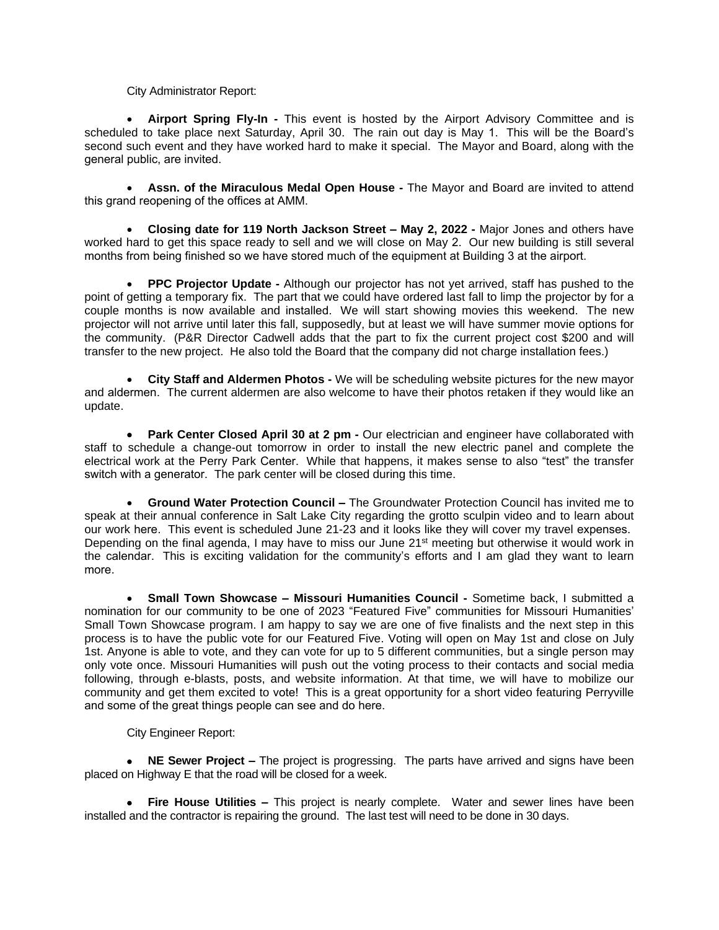# City Administrator Report:

 **Airport Spring Fly-In -** This event is hosted by the Airport Advisory Committee and is scheduled to take place next Saturday, April 30. The rain out day is May 1. This will be the Board's second such event and they have worked hard to make it special. The Mayor and Board, along with the general public, are invited.

 **Assn. of the Miraculous Medal Open House -** The Mayor and Board are invited to attend this grand reopening of the offices at AMM.

 **Closing date for 119 North Jackson Street – May 2, 2022 -** Major Jones and others have worked hard to get this space ready to sell and we will close on May 2. Our new building is still several months from being finished so we have stored much of the equipment at Building 3 at the airport.

 **PPC Projector Update -** Although our projector has not yet arrived, staff has pushed to the point of getting a temporary fix. The part that we could have ordered last fall to limp the projector by for a couple months is now available and installed. We will start showing movies this weekend. The new projector will not arrive until later this fall, supposedly, but at least we will have summer movie options for the community. (P&R Director Cadwell adds that the part to fix the current project cost \$200 and will transfer to the new project. He also told the Board that the company did not charge installation fees.)

 **City Staff and Aldermen Photos -** We will be scheduling website pictures for the new mayor and aldermen. The current aldermen are also welcome to have their photos retaken if they would like an update.

 **Park Center Closed April 30 at 2 pm -** Our electrician and engineer have collaborated with staff to schedule a change-out tomorrow in order to install the new electric panel and complete the electrical work at the Perry Park Center. While that happens, it makes sense to also "test" the transfer switch with a generator. The park center will be closed during this time.

 **Ground Water Protection Council –** The Groundwater Protection Council has invited me to speak at their annual conference in Salt Lake City regarding the grotto sculpin video and to learn about our work here. This event is scheduled June 21-23 and it looks like they will cover my travel expenses. Depending on the final agenda, I may have to miss our June 21st meeting but otherwise it would work in the calendar. This is exciting validation for the community's efforts and I am glad they want to learn more.

 **Small Town Showcase – Missouri Humanities Council -** Sometime back, I submitted a nomination for our community to be one of 2023 "Featured Five" communities for Missouri Humanities' Small Town Showcase program. I am happy to say we are one of five finalists and the next step in this process is to have the public vote for our Featured Five. Voting will open on May 1st and close on July 1st. Anyone is able to vote, and they can vote for up to 5 different communities, but a single person may only vote once. Missouri Humanities will push out the voting process to their contacts and social media following, through e-blasts, posts, and website information. At that time, we will have to mobilize our community and get them excited to vote! This is a great opportunity for a short video featuring Perryville and some of the great things people can see and do here.

City Engineer Report:

 **NE Sewer Project –** The project is progressing. The parts have arrived and signs have been placed on Highway E that the road will be closed for a week.

 **Fire House Utilities –** This project is nearly complete. Water and sewer lines have been installed and the contractor is repairing the ground. The last test will need to be done in 30 days.